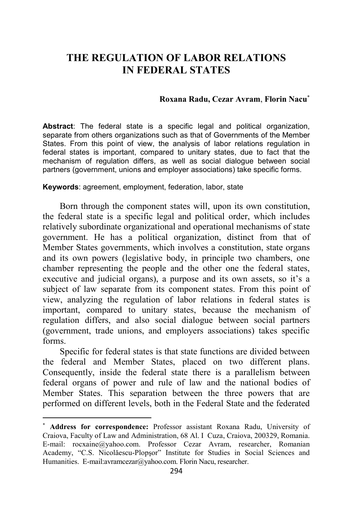## **THE REGULATION OF LABOR RELATIONS IN FEDERAL STATES**

## **Roxana Radu, Cezar Avram**, **Florin Nacu**<sup>∗</sup>

**Abstract**: The federal state is a specific legal and political organization, separate from others organizations such as that of Governments of the Member States. From this point of view, the analysis of labor relations regulation in federal states is important, compared to unitary states, due to fact that the mechanism of regulation differs, as well as social dialogue between social partners (government, unions and employer associations) take specific forms.

## **Keywords**: agreement, employment, federation, labor, state

Born through the component states will, upon its own constitution, the federal state is a specific legal and political order, which includes relatively subordinate organizational and operational mechanisms of state government. He has a political organization, distinct from that of Member States governments, which involves a constitution, state organs and its own powers (legislative body, in principle two chambers, one chamber representing the people and the other one the federal states, executive and judicial organs), a purpose and its own assets, so it's a subject of law separate from its component states. From this point of view, analyzing the regulation of labor relations in federal states is important, compared to unitary states, because the mechanism of regulation differs, and also social dialogue between social partners (government, trade unions, and employers associations) takes specific forms.

Specific for federal states is that state functions are divided between the federal and Member States, placed on two different plans. Consequently, inside the federal state there is a parallelism between federal organs of power and rule of law and the national bodies of Member States. This separation between the three powers that are performed on different levels, both in the Federal State and the federated

<sup>∗</sup> **Address for correspondence:** Professor assistant Roxana Radu, University of Craiova, Faculty of Law and Administration, 68 Al. I Cuza, Craiova, 200329, Romania. E-mail: rocxaine@yahoo.com. Professor Cezar Avram, researcher, Romanian Academy, "C.S. Nicolăescu-Plopşor" Institute for Studies in Social Sciences and Humanities. E-mail:avramcezar@yahoo.com. Florin Nacu, researcher.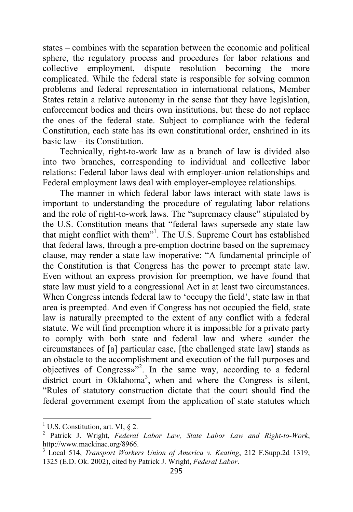states – combines with the separation between the economic and political sphere, the regulatory process and procedures for labor relations and collective employment, dispute resolution becoming the more complicated. While the federal state is responsible for solving common problems and federal representation in international relations, Member States retain a relative autonomy in the sense that they have legislation, enforcement bodies and theirs own institutions, but these do not replace the ones of the federal state. Subject to compliance with the federal Constitution, each state has its own constitutional order, enshrined in its basic law – its Constitution.

Technically, right-to-work law as a branch of law is divided also into two branches, corresponding to individual and collective labor relations: Federal labor laws deal with employer-union relationships and Federal employment laws deal with employer-employee relationships.

The manner in which federal labor laws interact with state laws is important to understanding the procedure of regulating labor relations and the role of right-to-work laws. The "supremacy clause" stipulated by the U.S. Constitution means that "federal laws supersede any state law that might conflict with them"<sup>1</sup>. The U.S. Supreme Court has established that federal laws, through a pre-emption doctrine based on the supremacy clause, may render a state law inoperative: "A fundamental principle of the Constitution is that Congress has the power to preempt state law. Even without an express provision for preemption, we have found that state law must yield to a congressional Act in at least two circumstances. When Congress intends federal law to 'occupy the field', state law in that area is preempted. And even if Congress has not occupied the field, state law is naturally preempted to the extent of any conflict with a federal statute. We will find preemption where it is impossible for a private party to comply with both state and federal law and where «under the circumstances of [a] particular case, [the challenged state law] stands as an obstacle to the accomplishment and execution of the full purposes and objectives of Congress»"<sup>2</sup> . In the same way, according to a federal district court in Oklahoma<sup>3</sup>, when and where the Congress is silent, "Rules of statutory construction dictate that the court should find the federal government exempt from the application of state statutes which

<sup>&</sup>lt;sup>1</sup> U.S. Constitution, art. VI,  $\S$  2.

<sup>2</sup> Patrick J. Wright, *Federal Labor Law, State Labor Law and Right-to-Work*, http://www.mackinac.org/8966.

<sup>3</sup> Local 514, *Transport Workers Union of America v. Keating*, 212 F.Supp.2d 1319, 1325 (E.D. Ok. 2002), cited by Patrick J. Wright, *Federal Labor*.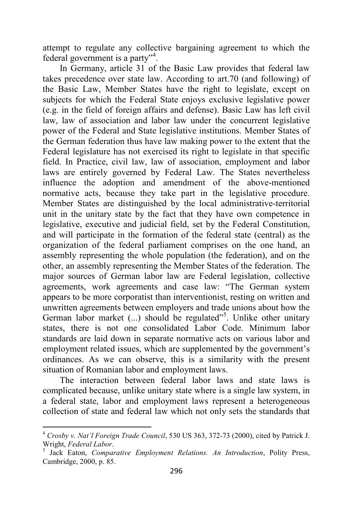attempt to regulate any collective bargaining agreement to which the federal government is a party"<sup>4</sup>.

In Germany, article 31 of the Basic Law provides that federal law takes precedence over state law. According to art.70 (and following) of the Basic Law, Member States have the right to legislate, except on subjects for which the Federal State enjoys exclusive legislative power (e.g. in the field of foreign affairs and defense). Basic Law has left civil law, law of association and labor law under the concurrent legislative power of the Federal and State legislative institutions. Member States of the German federation thus have law making power to the extent that the Federal legislature has not exercised its right to legislate in that specific field. In Practice, civil law, law of association, employment and labor laws are entirely governed by Federal Law. The States nevertheless influence the adoption and amendment of the above-mentioned normative acts, because they take part in the legislative procedure. Member States are distinguished by the local administrative-territorial unit in the unitary state by the fact that they have own competence in legislative, executive and judicial field, set by the Federal Constitution, and will participate in the formation of the federal state (central) as the organization of the federal parliament comprises on the one hand, an assembly representing the whole population (the federation), and on the other, an assembly representing the Member States of the federation. The major sources of German labor law are Federal legislation, collective agreements, work agreements and case law: "The German system appears to be more corporatist than interventionist, resting on written and unwritten agreements between employers and trade unions about how the German labor market (...) should be regulated"<sup>5</sup>. Unlike other unitary states, there is not one consolidated Labor Code. Minimum labor standards are laid down in separate normative acts on various labor and employment related issues, which are supplemented by the government's ordinances. As we can observe, this is a similarity with the present situation of Romanian labor and employment laws.

The interaction between federal labor laws and state laws is complicated because, unlike unitary state where is a single law system, in a federal state, labor and employment laws represent a heterogeneous collection of state and federal law which not only sets the standards that

<sup>4</sup> *Crosby v. Nat'l Foreign Trade Council*, 530 US 363, 372-73 (2000), cited by Patrick J. Wright, *Federal Labor*.

<sup>5</sup> Jack Eaton, *Comparative Employment Relations. An Introduction*, Polity Press, Cambridge, 2000, p. 85.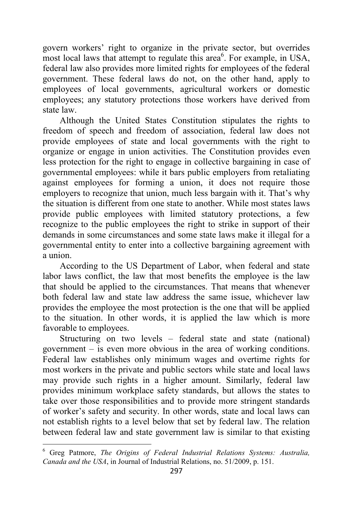govern workers' right to organize in the private sector, but overrides most local laws that attempt to regulate this area<sup>6</sup>. For example, in USA, federal law also provides more limited rights for employees of the federal government. These federal laws do not, on the other hand, apply to employees of local governments, agricultural workers or domestic employees; any statutory protections those workers have derived from state law.

Although the United States Constitution stipulates the rights to freedom of speech and freedom of association, federal law does not provide employees of state and local governments with the right to organize or engage in union activities. The Constitution provides even less protection for the right to engage in collective bargaining in case of governmental employees: while it bars public employers from retaliating against employees for forming a union, it does not require those employers to recognize that union, much less bargain with it. That's why the situation is different from one state to another. While most states laws provide public employees with limited statutory protections, a few recognize to the public employees the right to strike in support of their demands in some circumstances and some state laws make it illegal for a governmental entity to enter into a collective bargaining agreement with a union.

According to the US Department of Labor, when federal and state labor laws conflict, the law that most benefits the employee is the law that should be applied to the circumstances. That means that whenever both federal law and state law address the same issue, whichever law provides the employee the most protection is the one that will be applied to the situation. In other words, it is applied the law which is more favorable to employees.

Structuring on two levels – federal state and state (national) government – is even more obvious in the area of working conditions. Federal law establishes only minimum wages and overtime rights for most workers in the private and public sectors while state and local laws may provide such rights in a higher amount. Similarly, federal law provides minimum workplace safety standards, but allows the states to take over those responsibilities and to provide more stringent standards of worker's safety and security. In other words, state and local laws can not establish rights to a level below that set by federal law. The relation between federal law and state government law is similar to that existing

<sup>6</sup> Greg Patmore, *The Origins of Federal Industrial Relations Systems: Australia, Canada and the USA*, in Journal of Industrial Relations, no. 51/2009, p. 151.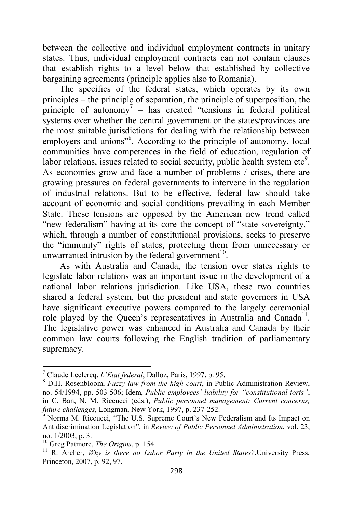between the collective and individual employment contracts in unitary states. Thus, individual employment contracts can not contain clauses that establish rights to a level below that established by collective bargaining agreements (principle applies also to Romania).

The specifics of the federal states, which operates by its own principles – the principle of separation, the principle of superposition, the principle of autonomy<sup>7</sup> – has created "tensions in federal political systems over whether the central government or the states/provinces are the most suitable jurisdictions for dealing with the relationship between employers and unions"<sup>8</sup>. According to the principle of autonomy, local communities have competences in the field of education, regulation of labor relations, issues related to social security, public health system etc<sup>9</sup>. As economies grow and face a number of problems / crises, there are growing pressures on federal governments to intervene in the regulation of industrial relations. But to be effective, federal law should take account of economic and social conditions prevailing in each Member State. These tensions are opposed by the American new trend called "new federalism" having at its core the concept of "state sovereignty," which, through a number of constitutional provisions, seeks to preserve the "immunity" rights of states, protecting them from unnecessary or unwarranted intrusion by the federal government<sup>10</sup>.

As with Australia and Canada, the tension over states rights to legislate labor relations was an important issue in the development of a national labor relations jurisdiction. Like USA, these two countries shared a federal system, but the president and state governors in USA have significant executive powers compared to the largely ceremonial role played by the Queen's representatives in Australia and Canada<sup>11</sup>. The legislative power was enhanced in Australia and Canada by their common law courts following the English tradition of parliamentary supremacy.

<sup>7</sup> Claude Leclercq, *L'Etat federal*, Dalloz, Paris, 1997, p. 95.

<sup>8</sup> D.H. Rosenbloom, *Fuzzy law from the high court*, in Public Administration Review, no. 54/1994, pp. 503-506; Idem, *Public employees' liability for "constitutional torts"*, in C. Ban, N. M. Riccucci (eds.), *Public personnel management: Current concerns, future challenges*, Longman, New York, 1997, p. 237-252.

<sup>9</sup> Norma M. Riccucci, "The U.S. Supreme Court's New Federalism and Its Impact on Antidiscrimination Legislation", in *Review of Public Personnel Administration*, vol. 23, no. 1/2003, p. 3.

<sup>10</sup> Greg Patmore, *The Origins*, p. 154.

<sup>&</sup>lt;sup>11</sup> R. Archer, *Why is there no Labor Party in the United States?*, University Press, Princeton, 2007, p. 92, 97.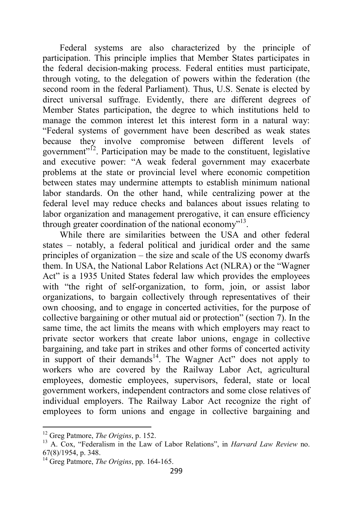Federal systems are also characterized by the principle of participation. This principle implies that Member States participates in the federal decision-making process. Federal entities must participate, through voting, to the delegation of powers within the federation (the second room in the federal Parliament). Thus, U.S. Senate is elected by direct universal suffrage. Evidently, there are different degrees of Member States participation, the degree to which institutions held to manage the common interest let this interest form in a natural way: "Federal systems of government have been described as weak states because they involve compromise between different levels of government"<sup>12</sup>. Participation may be made to the constituent, legislative and executive power: "A weak federal government may exacerbate problems at the state or provincial level where economic competition between states may undermine attempts to establish minimum national labor standards. On the other hand, while centralizing power at the federal level may reduce checks and balances about issues relating to labor organization and management prerogative, it can ensure efficiency through greater coordination of the national economy"<sup>13</sup>.

While there are similarities between the USA and other federal states – notably, a federal political and juridical order and the same principles of organization – the size and scale of the US economy dwarfs them. In USA, the National Labor Relations Act (NLRA) or the "Wagner Act" is a 1935 United States federal law which provides the employees with "the right of self-organization, to form, join, or assist labor organizations, to bargain collectively through representatives of their own choosing, and to engage in concerted activities, for the purpose of collective bargaining or other mutual aid or protection" (section 7). In the same time, the act limits the means with which employers may react to private sector workers that create labor unions, engage in collective bargaining, and take part in strikes and other forms of concerted activity in support of their demands<sup>14</sup>. The Wagner Act" does not apply to workers who are covered by the Railway Labor Act, agricultural employees, domestic employees, supervisors, federal, state or local government workers, independent contractors and some close relatives of individual employers. The Railway Labor Act recognize the right of employees to form unions and engage in collective bargaining and

<sup>12</sup> Greg Patmore, *The Origins*, p. 152.

<sup>13</sup> A. Cox, "Federalism in the Law of Labor Relations", in *Harvard Law Review* no. 67(8)/1954, p. 348.

<sup>14</sup> Greg Patmore, *The Origins*, pp. 164-165.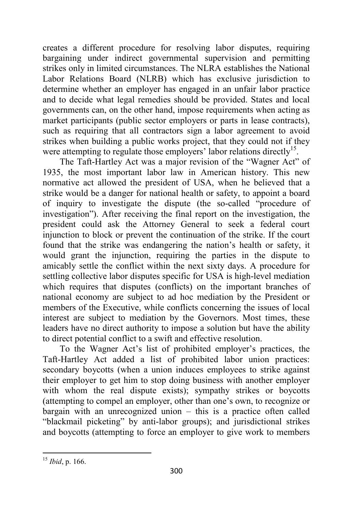creates a different procedure for resolving labor disputes, requiring bargaining under indirect governmental supervision and permitting strikes only in limited circumstances. The NLRA establishes the National Labor Relations Board (NLRB) which has exclusive jurisdiction to determine whether an employer has engaged in an unfair labor practice and to decide what legal remedies should be provided. States and local governments can, on the other hand, impose requirements when acting as market participants (public sector employers or parts in lease contracts), such as requiring that all contractors sign a labor agreement to avoid strikes when building a public works project, that they could not if they were attempting to regulate those employers' labor relations directly<sup>15</sup>.

The Taft-Hartley Act was a major revision of the "Wagner Act" of 1935, the most important labor law in American history. This new normative act allowed the president of USA, when he believed that a strike would be a danger for national health or safety, to appoint a board of inquiry to investigate the dispute (the so-called "procedure of investigation"). After receiving the final report on the investigation, the president could ask the Attorney General to seek a federal court injunction to block or prevent the continuation of the strike. If the court found that the strike was endangering the nation's health or safety, it would grant the injunction, requiring the parties in the dispute to amicably settle the conflict within the next sixty days. A procedure for settling collective labor disputes specific for USA is high-level mediation which requires that disputes (conflicts) on the important branches of national economy are subject to ad hoc mediation by the President or members of the Executive, while conflicts concerning the issues of local interest are subject to mediation by the Governors. Most times, these leaders have no direct authority to impose a solution but have the ability to direct potential conflict to a swift and effective resolution.

To the Wagner Act's list of prohibited employer's practices, the Taft-Hartley Act added a list of prohibited labor union practices: secondary boycotts (when a union induces employees to strike against their employer to get him to stop doing business with another employer with whom the real dispute exists); sympathy strikes or boycotts (attempting to compel an employer, other than one's own, to recognize or bargain with an unrecognized union – this is a practice often called "blackmail picketing" by anti-labor groups); and jurisdictional strikes and boycotts (attempting to force an employer to give work to members

<sup>15</sup> *Ibid*, p. 166.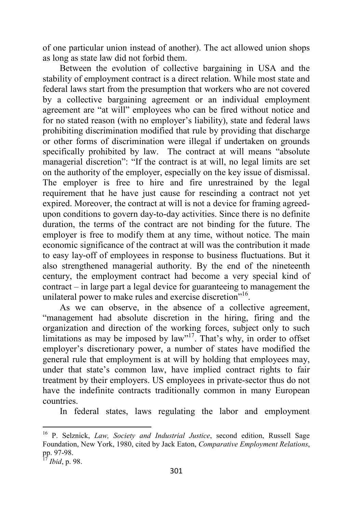of one particular union instead of another). The act allowed union shops as long as state law did not forbid them.

Between the evolution of collective bargaining in USA and the stability of employment contract is a direct relation. While most state and federal laws start from the presumption that workers who are not covered by a collective bargaining agreement or an individual employment agreement are "at will" employees who can be fired without notice and for no stated reason (with no employer's liability), state and federal laws prohibiting discrimination modified that rule by providing that discharge or other forms of discrimination were illegal if undertaken on grounds specifically prohibited by law. The contract at will means "absolute managerial discretion": "If the contract is at will, no legal limits are set on the authority of the employer, especially on the key issue of dismissal. The employer is free to hire and fire unrestrained by the legal requirement that he have just cause for rescinding a contract not yet expired. Moreover, the contract at will is not a device for framing agreedupon conditions to govern day-to-day activities. Since there is no definite duration, the terms of the contract are not binding for the future. The employer is free to modify them at any time, without notice. The main economic significance of the contract at will was the contribution it made to easy lay-off of employees in response to business fluctuations. But it also strengthened managerial authority. By the end of the nineteenth century, the employment contract had become a very special kind of contract – in large part a legal device for guaranteeing to management the unilateral power to make rules and exercise discretion"<sup>16</sup>.

As we can observe, in the absence of a collective agreement, "management had absolute discretion in the hiring, firing and the organization and direction of the working forces, subject only to such limitations as may be imposed by law"<sup>17</sup>. That's why, in order to offset employer's discretionary power, a number of states have modified the general rule that employment is at will by holding that employees may, under that state's common law, have implied contract rights to fair treatment by their employers. US employees in private-sector thus do not have the indefinite contracts traditionally common in many European countries.

In federal states, laws regulating the labor and employment

<sup>16</sup> P. Selznick, *Law, Society and Industrial Justice*, second edition, Russell Sage Foundation, New York, 1980, cited by Jack Eaton, *Comparative Employment Relations*, pp. 97-98.

<sup>17</sup> *Ibid*, p. 98.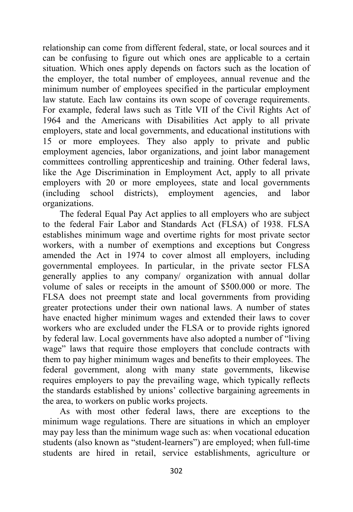relationship can come from different federal, state, or local sources and it can be confusing to figure out which ones are applicable to a certain situation. Which ones apply depends on factors such as the location of the employer, the total number of employees, annual revenue and the minimum number of employees specified in the particular employment law statute. Each law contains its own scope of coverage requirements. For example, federal laws such as Title VII of the Civil Rights Act of 1964 and the Americans with Disabilities Act apply to all private employers, state and local governments, and educational institutions with 15 or more employees. They also apply to private and public employment agencies, labor organizations, and joint labor management committees controlling apprenticeship and training. Other federal laws, like the Age Discrimination in Employment Act, apply to all private employers with 20 or more employees, state and local governments (including school districts), employment agencies, and labor organizations.

The federal Equal Pay Act applies to all employers who are subject to the federal Fair Labor and Standards Act (FLSA) of 1938. FLSA establishes minimum wage and overtime rights for most private sector workers, with a number of exemptions and exceptions but Congress amended the Act in 1974 to cover almost all employers, including governmental employees. In particular, in the private sector FLSA generally applies to any company/ organization with annual dollar volume of sales or receipts in the amount of \$500.000 or more. The FLSA does not preempt state and local governments from providing greater protections under their own national laws. A number of states have enacted higher minimum wages and extended their laws to cover workers who are excluded under the FLSA or to provide rights ignored by federal law. Local governments have also adopted a number of "living wage" laws that require those employers that conclude contracts with them to pay higher minimum wages and benefits to their employees. The federal government, along with many state governments, likewise requires employers to pay the prevailing wage, which typically reflects the standards established by unions' collective bargaining agreements in the area, to workers on public works projects.

As with most other federal laws, there are exceptions to the minimum wage regulations. There are situations in which an employer may pay less than the minimum wage such as: when vocational education students (also known as "student-learners") are employed; when full-time students are hired in retail, service establishments, agriculture or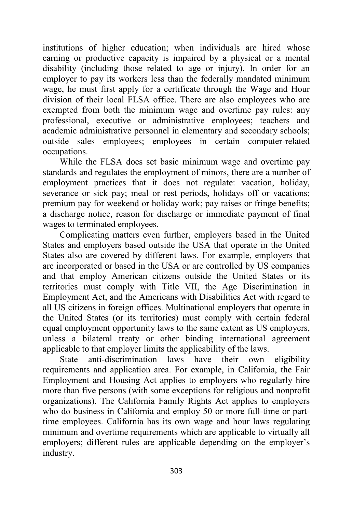institutions of higher education; when individuals are hired whose earning or productive capacity is impaired by a physical or a mental disability (including those related to age or injury). In order for an employer to pay its workers less than the federally mandated minimum wage, he must first apply for a certificate through the Wage and Hour division of their local FLSA office. There are also employees who are exempted from both the minimum wage and overtime pay rules: any professional, executive or administrative employees; teachers and academic administrative personnel in elementary and secondary schools; outside sales employees; employees in certain computer-related occupations.

While the FLSA does set basic minimum wage and overtime pay standards and regulates the employment of minors, there are a number of employment practices that it does not regulate: vacation, holiday, severance or sick pay; meal or rest periods, holidays off or vacations; premium pay for weekend or holiday work; pay raises or fringe benefits; a discharge notice, reason for discharge or immediate payment of final wages to terminated employees.

Complicating matters even further, employers based in the United States and employers based outside the USA that operate in the United States also are covered by different laws. For example, employers that are incorporated or based in the USA or are controlled by US companies and that employ American citizens outside the United States or its territories must comply with Title VII, the Age Discrimination in Employment Act, and the Americans with Disabilities Act with regard to all US citizens in foreign offices. Multinational employers that operate in the United States (or its territories) must comply with certain federal equal employment opportunity laws to the same extent as US employers, unless a bilateral treaty or other binding international agreement applicable to that employer limits the applicability of the laws.

State anti-discrimination laws have their own eligibility requirements and application area. For example, in California, the Fair Employment and Housing Act applies to employers who regularly hire more than five persons (with some exceptions for religious and nonprofit organizations). The California Family Rights Act applies to employers who do business in California and employ 50 or more full-time or parttime employees. California has its own wage and hour laws regulating minimum and overtime requirements which are applicable to virtually all employers; different rules are applicable depending on the employer's industry.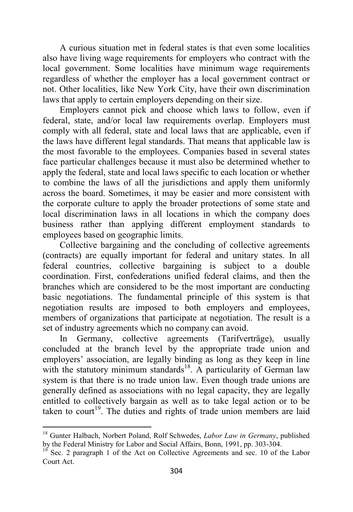A curious situation met in federal states is that even some localities also have living wage requirements for employers who contract with the local government. Some localities have minimum wage requirements regardless of whether the employer has a local government contract or not. Other localities, like New York City, have their own discrimination laws that apply to certain employers depending on their size.

Employers cannot pick and choose which laws to follow, even if federal, state, and/or local law requirements overlap. Employers must comply with all federal, state and local laws that are applicable, even if the laws have different legal standards. That means that applicable law is the most favorable to the employees. Companies based in several states face particular challenges because it must also be determined whether to apply the federal, state and local laws specific to each location or whether to combine the laws of all the jurisdictions and apply them uniformly across the board. Sometimes, it may be easier and more consistent with the corporate culture to apply the broader protections of some state and local discrimination laws in all locations in which the company does business rather than applying different employment standards to employees based on geographic limits.

Collective bargaining and the concluding of collective agreements (contracts) are equally important for federal and unitary states. In all federal countries, collective bargaining is subject to a double coordination. First, confederations unified federal claims, and then the branches which are considered to be the most important are conducting basic negotiations. The fundamental principle of this system is that negotiation results are imposed to both employers and employees, members of organizations that participate at negotiation. The result is a set of industry agreements which no company can avoid.

In Germany, collective agreements (Tarifverträge), usually concluded at the branch level by the appropriate trade union and employers' association, are legally binding as long as they keep in line with the statutory minimum standards<sup>18</sup>. A particularity of German law system is that there is no trade union law. Even though trade unions are generally defined as associations with no legal capacity, they are legally entitled to collectively bargain as well as to take legal action or to be taken to court<sup>19</sup>. The duties and rights of trade union members are laid

<sup>18</sup> Gunter Halbach, Norbert Poland, Rolf Schwedes, *Labor Law in Germany*, published by the Federal Ministry for Labor and Social Affairs, Bonn, 1991, pp. 303-304.

 $19$  Sec. 2 paragraph 1 of the Act on Collective Agreements and sec. 10 of the Labor Court Act.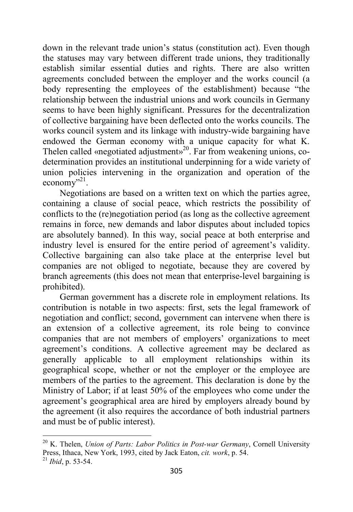down in the relevant trade union's status (constitution act). Even though the statuses may vary between different trade unions, they traditionally establish similar essential duties and rights. There are also written agreements concluded between the employer and the works council (a body representing the employees of the establishment) because "the relationship between the industrial unions and work councils in Germany seems to have been highly significant. Pressures for the decentralization of collective bargaining have been deflected onto the works councils. The works council system and its linkage with industry-wide bargaining have endowed the German economy with a unique capacity for what K. Thelen called «negotiated adjustment»<sup>20</sup>. Far from weakening unions, codetermination provides an institutional underpinning for a wide variety of union policies intervening in the organization and operation of the  $e \overline{_{} \cdot \cdot \cdot }$ <sup>21</sup>.

Negotiations are based on a written text on which the parties agree, containing a clause of social peace, which restricts the possibility of conflicts to the (re)negotiation period (as long as the collective agreement remains in force, new demands and labor disputes about included topics are absolutely banned). In this way, social peace at both enterprise and industry level is ensured for the entire period of agreement's validity. Collective bargaining can also take place at the enterprise level but companies are not obliged to negotiate, because they are covered by branch agreements (this does not mean that enterprise-level bargaining is prohibited).

German government has a discrete role in employment relations. Its contribution is notable in two aspects: first, sets the legal framework of negotiation and conflict; second, government can intervene when there is an extension of a collective agreement, its role being to convince companies that are not members of employers' organizations to meet agreement's conditions. A collective agreement may be declared as generally applicable to all employment relationships within its geographical scope, whether or not the employer or the employee are members of the parties to the agreement. This declaration is done by the Ministry of Labor; if at least 50% of the employees who come under the agreement's geographical area are hired by employers already bound by the agreement (it also requires the accordance of both industrial partners and must be of public interest).

<sup>20</sup> K. Thelen, *Union of Parts: Labor Politics in Post-war Germany*, Cornell University Press, Ithaca, New York, 1993, cited by Jack Eaton, *cit. work*, p. 54.

<sup>21</sup> *Ibid*, p. 53-54.